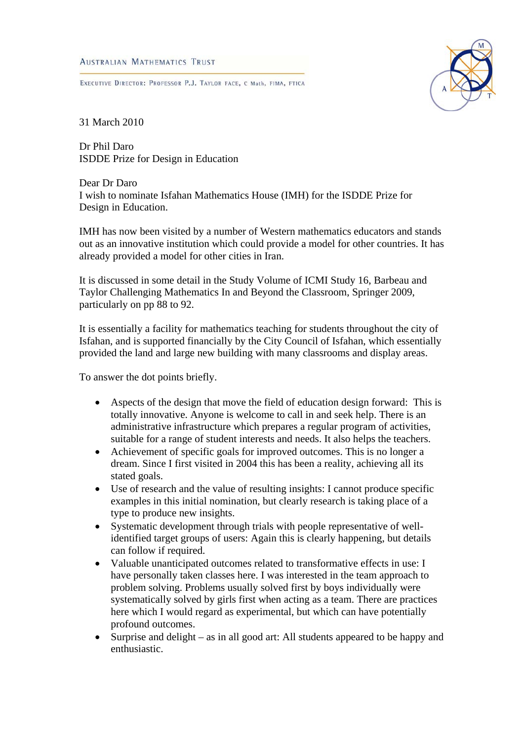## **AUSTRALIAN MATHEMATICS TRUST**

EXECUTIVE DIRECTOR: PROFESSOR P.J. TAYLOR FACE, C Math, FIMA, FTICA



31 March 2010

Dr Phil Daro ISDDE Prize for Design in Education

Dear Dr Daro I wish to nominate Isfahan Mathematics House (IMH) for the ISDDE Prize for Design in Education.

IMH has now been visited by a number of Western mathematics educators and stands out as an innovative institution which could provide a model for other countries. It has already provided a model for other cities in Iran.

It is discussed in some detail in the Study Volume of ICMI Study 16, Barbeau and Taylor Challenging Mathematics In and Beyond the Classroom, Springer 2009, particularly on pp 88 to 92.

It is essentially a facility for mathematics teaching for students throughout the city of Isfahan, and is supported financially by the City Council of Isfahan, which essentially provided the land and large new building with many classrooms and display areas.

To answer the dot points briefly.

- Aspects of the design that move the field of education design forward: This is totally innovative. Anyone is welcome to call in and seek help. There is an administrative infrastructure which prepares a regular program of activities, suitable for a range of student interests and needs. It also helps the teachers.
- Achievement of specific goals for improved outcomes. This is no longer a dream. Since I first visited in 2004 this has been a reality, achieving all its stated goals.
- Use of research and the value of resulting insights: I cannot produce specific examples in this initial nomination, but clearly research is taking place of a type to produce new insights.
- Systematic development through trials with people representative of wellidentified target groups of users: Again this is clearly happening, but details can follow if required.
- Valuable unanticipated outcomes related to transformative effects in use: I have personally taken classes here. I was interested in the team approach to problem solving. Problems usually solved first by boys individually were systematically solved by girls first when acting as a team. There are practices here which I would regard as experimental, but which can have potentially profound outcomes.
- Surprise and delight as in all good art: All students appeared to be happy and enthusiastic.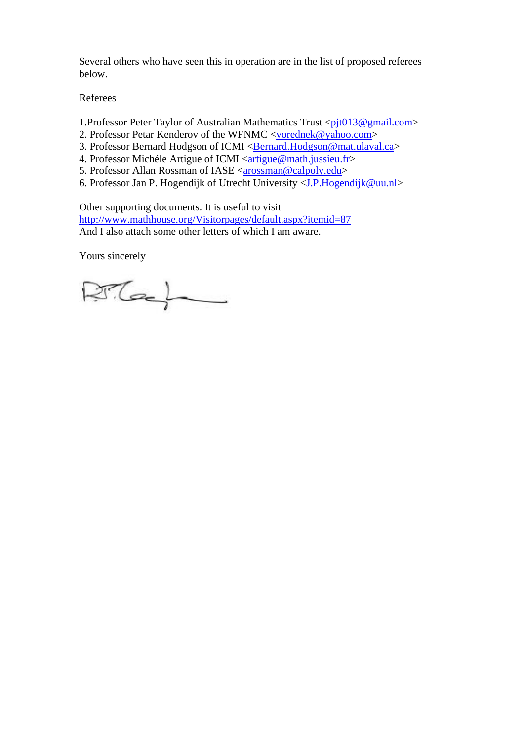Several others who have seen this in operation are in the list of proposed referees below.

Referees

- 1.Professor Peter Taylor of Australian Mathematics Trust  $\langle$ pit013@gmail.com>
- 2. Professor Petar Kenderov of the WFNMC <vorednek@yahoo.com>
- 3. Professor Bernard Hodgson of ICMI < Bernard.Hodgson@mat.ulaval.ca>
- 4. Professor Michéle Artigue of ICMI <artigue@math.jussieu.fr>
- 5. Professor Allan Rossman of IASE <arossman@calpoly.edu>
- 6. Professor Jan P. Hogendijk of Utrecht University <J.P.Hogendijk@uu.nl>

Other supporting documents. It is useful to visit http://www.mathhouse.org/Visitorpages/default.aspx?itemid=87 And I also attach some other letters of which I am aware.

Yours sincerely

 $RTG$